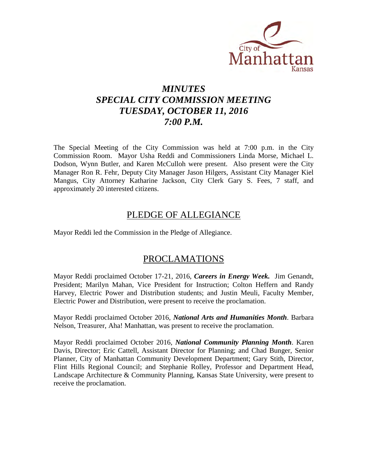

# *MINUTES SPECIAL CITY COMMISSION MEETING TUESDAY, OCTOBER 11, 2016 7:00 P.M.*

The Special Meeting of the City Commission was held at 7:00 p.m. in the City Commission Room. Mayor Usha Reddi and Commissioners Linda Morse, Michael L. Dodson, Wynn Butler, and Karen McCulloh were present. Also present were the City Manager Ron R. Fehr, Deputy City Manager Jason Hilgers, Assistant City Manager Kiel Mangus, City Attorney Katharine Jackson, City Clerk Gary S. Fees, 7 staff, and approximately 20 interested citizens.

## PLEDGE OF ALLEGIANCE

Mayor Reddi led the Commission in the Pledge of Allegiance.

## PROCLAMATIONS

Mayor Reddi proclaimed October 17-21, 2016, *Careers in Energy Week.* Jim Genandt, President; Marilyn Mahan, Vice President for Instruction; Colton Heffern and Randy Harvey, Electric Power and Distribution students; and Justin Meuli, Faculty Member, Electric Power and Distribution, were present to receive the proclamation.

Mayor Reddi proclaimed October 2016, *National Arts and Humanities Month*. Barbara Nelson, Treasurer, Aha! Manhattan, was present to receive the proclamation.

Mayor Reddi proclaimed October 2016, *National Community Planning Month*. Karen Davis, Director; Eric Cattell, Assistant Director for Planning; and Chad Bunger, Senior Planner, City of Manhattan Community Development Department; Gary Stith, Director, Flint Hills Regional Council; and Stephanie Rolley, Professor and Department Head, Landscape Architecture & Community Planning, Kansas State University, were present to receive the proclamation.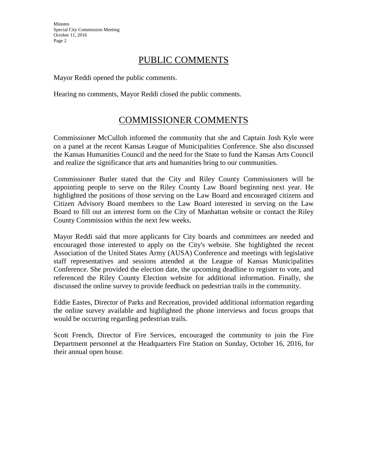# PUBLIC COMMENTS

Mayor Reddi opened the public comments.

Hearing no comments, Mayor Reddi closed the public comments.

# COMMISSIONER COMMENTS

Commissioner McCulloh informed the community that she and Captain Josh Kyle were on a panel at the recent Kansas League of Municipalities Conference. She also discussed the Kansas Humanities Council and the need for the State to fund the Kansas Arts Council and realize the significance that arts and humanities bring to our communities.

Commissioner Butler stated that the City and Riley County Commissioners will be appointing people to serve on the Riley County Law Board beginning next year. He highlighted the positions of those serving on the Law Board and encouraged citizens and Citizen Advisory Board members to the Law Board interested in serving on the Law Board to fill out an interest form on the City of Manhattan website or contact the Riley County Commission within the next few weeks.

Mayor Reddi said that more applicants for City boards and committees are needed and encouraged those interested to apply on the City's website. She highlighted the recent Association of the United States Army (AUSA) Conference and meetings with legislative staff representatives and sessions attended at the League of Kansas Municipalities Conference. She provided the election date, the upcoming deadline to register to vote, and referenced the Riley County Election website for additional information. Finally, she discussed the online survey to provide feedback on pedestrian trails in the community.

Eddie Eastes, Director of Parks and Recreation, provided additional information regarding the online survey available and highlighted the phone interviews and focus groups that would be occurring regarding pedestrian trails.

Scott French, Director of Fire Services, encouraged the community to join the Fire Department personnel at the Headquarters Fire Station on Sunday, October 16, 2016, for their annual open house.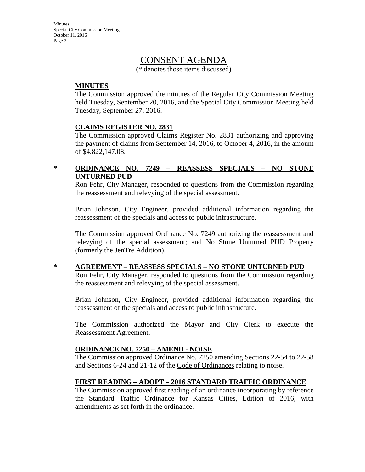## CONSENT AGENDA

(\* denotes those items discussed)

### **MINUTES**

The Commission approved the minutes of the Regular City Commission Meeting held Tuesday, September 20, 2016, and the Special City Commission Meeting held Tuesday, September 27, 2016.

### **CLAIMS REGISTER NO. 2831**

The Commission approved Claims Register No. 2831 authorizing and approving the payment of claims from September 14, 2016, to October 4, 2016, in the amount of \$4,822,147.08.

## **\* ORDINANCE NO. 7249 – REASSESS SPECIALS – NO STONE UNTURNED PUD**

Ron Fehr, City Manager, responded to questions from the Commission regarding the reassessment and relevying of the special assessment.

Brian Johnson, City Engineer, provided additional information regarding the reassessment of the specials and access to public infrastructure.

The Commission approved Ordinance No. 7249 authorizing the reassessment and relevying of the special assessment; and No Stone Unturned PUD Property (formerly the JenTre Addition).

## **\* AGREEMENT – REASSESS SPECIALS – NO STONE UNTURNED PUD**

Ron Fehr, City Manager, responded to questions from the Commission regarding the reassessment and relevying of the special assessment.

Brian Johnson, City Engineer, provided additional information regarding the reassessment of the specials and access to public infrastructure.

The Commission authorized the Mayor and City Clerk to execute the Reassessment Agreement.

## **ORDINANCE NO. 7250 – AMEND - NOISE**

The Commission approved Ordinance No. 7250 amending Sections 22-54 to 22-58 and Sections 6-24 and 21-12 of the Code of Ordinances relating to noise.

## **FIRST READING – ADOPT – 2016 STANDARD TRAFFIC ORDINANCE**

The Commission approved first reading of an ordinance incorporating by reference the Standard Traffic Ordinance for Kansas Cities, Edition of 2016, with amendments as set forth in the ordinance.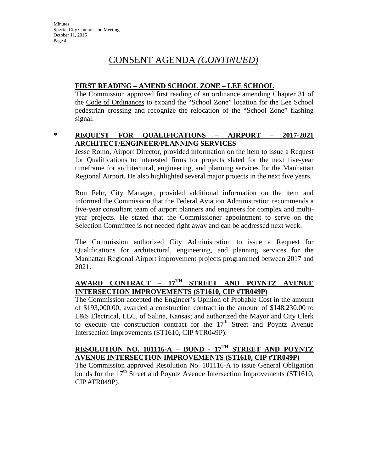# CONSENT AGENDA *(CONTINUED)*

## **FIRST READING – AMEND SCHOOL ZONE – LEE SCHOOL**

The Commission approved first reading of an ordinance amending Chapter 31 of the Code of Ordinances to expand the "School Zone" location for the Lee School pedestrian crossing and recognize the relocation of the "School Zone" flashing signal.

## **\* REQUEST FOR QUALIFICATIONS – AIRPORT – 2017-2021 ARCHITECT/ENGINEER/PLANNING SERVICES**

Jesse Romo, Airport Director, provided information on the item to issue a Request for Qualifications to interested firms for projects slated for the next five-year timeframe for architectural, engineering, and planning services for the Manhattan Regional Airport. He also highlighted several major projects in the next five years.

Ron Fehr, City Manager, provided additional information on the item and informed the Commission that the Federal Aviation Administration recommends a five-year consultant team of airport planners and engineers for complex and multiyear projects. He stated that the Commissioner appointment to serve on the Selection Committee is not needed right away and can be addressed next week.

The Commission authorized City Administration to issue a Request for Qualifications for architectural, engineering, and planning services for the Manhattan Regional Airport improvement projects programmed between 2017 and 2021.

## **AWARD CONTRACT – 17TH STREET AND POYNTZ AVENUE INTERSECTION IMPROVEMENTS (ST1610, CIP #TR049P)**

The Commission accepted the Engineer's Opinion of Probable Cost in the amount of \$193,000.00; awarded a construction contract in the amount of \$148,230.00 to L&S Electrical, LLC, of Salina, Kansas; and authorized the Mayor and City Clerk to execute the construction contract for the  $17<sup>th</sup>$  Street and Poyntz Avenue Intersection Improvements (ST1610, CIP #TR049P).

## **RESOLUTION NO. 101116-A – BOND - 17TH STREET AND POYNTZ AVENUE INTERSECTION IMPROVEMENTS (ST1610, CIP #TR049P)**

The Commission approved Resolution No. 101116-A to issue General Obligation bonds for the  $17<sup>th</sup>$  Street and Poyntz Avenue Intersection Improvements (ST1610, CIP #TR049P).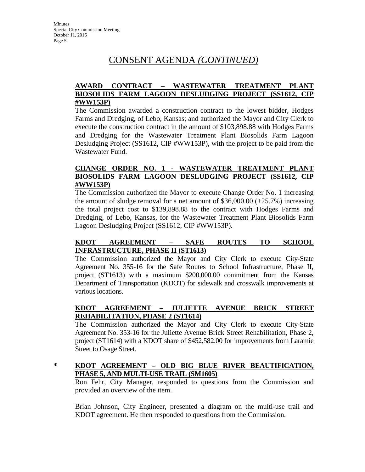# CONSENT AGENDA *(CONTINUED)*

## **AWARD CONTRACT – WASTEWATER TREATMENT PLANT BIOSOLIDS FARM LAGOON DESLUDGING PROJECT (SS1612, CIP #WW153P)**

The Commission awarded a construction contract to the lowest bidder, Hodges Farms and Dredging, of Lebo, Kansas; and authorized the Mayor and City Clerk to execute the construction contract in the amount of \$103,898.88 with Hodges Farms and Dredging for the Wastewater Treatment Plant Biosolids Farm Lagoon Desludging Project (SS1612, CIP #WW153P), with the project to be paid from the Wastewater Fund.

## **CHANGE ORDER NO. 1 - WASTEWATER TREATMENT PLANT BIOSOLIDS FARM LAGOON DESLUDGING PROJECT (SS1612, CIP #WW153P)**

The Commission authorized the Mayor to execute Change Order No. 1 increasing the amount of sludge removal for a net amount of  $$36,000.00 (+25.7%)$  increasing the total project cost to \$139,898.88 to the contract with Hodges Farms and Dredging, of Lebo, Kansas, for the Wastewater Treatment Plant Biosolids Farm Lagoon Desludging Project (SS1612, CIP #WW153P).

## **KDOT AGREEMENT – SAFE ROUTES TO SCHOOL INFRASTRUCTURE, PHASE II (ST1613)**

The Commission authorized the Mayor and City Clerk to execute City-State Agreement No. 355-16 for the Safe Routes to School Infrastructure, Phase II, project (ST1613) with a maximum \$200,000.00 commitment from the Kansas Department of Transportation (KDOT) for sidewalk and crosswalk improvements at various locations.

## **KDOT AGREEMENT – JULIETTE AVENUE BRICK STREET REHABILITATION, PHASE 2 (ST1614)**

The Commission authorized the Mayor and City Clerk to execute City-State Agreement No. 353-16 for the Juliette Avenue Brick Street Rehabilitation, Phase 2, project (ST1614) with a KDOT share of \$452,582.00 for improvements from Laramie Street to Osage Street.

## **\* KDOT AGREEMENT – OLD BIG BLUE RIVER BEAUTIFICATION, PHASE 5, AND MULTI-USE TRAIL (SM1605)**

Ron Fehr, City Manager, responded to questions from the Commission and provided an overview of the item.

Brian Johnson, City Engineer, presented a diagram on the multi-use trail and KDOT agreement. He then responded to questions from the Commission.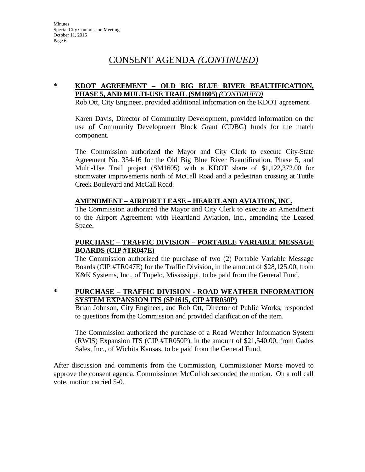# CONSENT AGENDA *(CONTINUED)*

## **\* KDOT AGREEMENT – OLD BIG BLUE RIVER BEAUTIFICATION, PHASE 5, AND MULTI-USE TRAIL (SM1605)** *(CONTINUED)*

Rob Ott, City Engineer, provided additional information on the KDOT agreement.

Karen Davis, Director of Community Development, provided information on the use of Community Development Block Grant (CDBG) funds for the match component.

The Commission authorized the Mayor and City Clerk to execute City-State Agreement No. 354-16 for the Old Big Blue River Beautification, Phase 5, and Multi-Use Trail project (SM1605) with a KDOT share of \$1,122,372.00 for stormwater improvements north of McCall Road and a pedestrian crossing at Tuttle Creek Boulevard and McCall Road.

### **AMENDMENT – AIRPORT LEASE – HEARTLAND AVIATION, INC.**

The Commission authorized the Mayor and City Clerk to execute an Amendment to the Airport Agreement with Heartland Aviation, Inc., amending the Leased Space.

## **PURCHASE – TRAFFIC DIVISION – PORTABLE VARIABLE MESSAGE BOARDS (CIP #TR047E)**

The Commission authorized the purchase of two (2) Portable Variable Message Boards (CIP #TR047E) for the Traffic Division, in the amount of \$28,125.00, from K&K Systems, Inc., of Tupelo, Mississippi, to be paid from the General Fund.

### **\* PURCHASE – TRAFFIC DIVISION - ROAD WEATHER INFORMATION SYSTEM EXPANSION ITS (SP1615, CIP #TR050P)**

Brian Johnson, City Engineer, and Rob Ott, Director of Public Works, responded to questions from the Commission and provided clarification of the item.

The Commission authorized the purchase of a Road Weather Information System (RWIS) Expansion ITS (CIP #TR050P), in the amount of \$21,540.00, from Gades Sales, Inc., of Wichita Kansas, to be paid from the General Fund.

After discussion and comments from the Commission, Commissioner Morse moved to approve the consent agenda. Commissioner McCulloh seconded the motion. On a roll call vote, motion carried 5-0.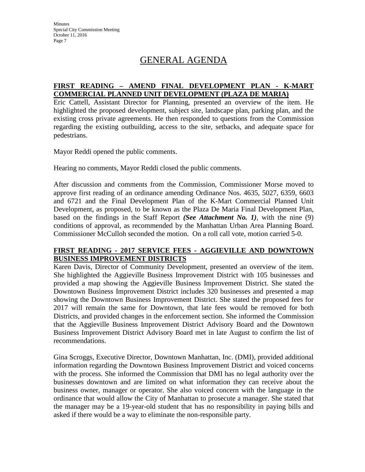# GENERAL AGENDA

### **FIRST READING – AMEND FINAL DEVELOPMENT PLAN - K-MART COMMERCIAL PLANNED UNIT DEVELOPMENT (PLAZA DE MARIA)**

Eric Cattell, Assistant Director for Planning, presented an overview of the item. He highlighted the proposed development, subject site, landscape plan, parking plan, and the existing cross private agreements. He then responded to questions from the Commission regarding the existing outbuilding, access to the site, setbacks, and adequate space for pedestrians.

Mayor Reddi opened the public comments.

Hearing no comments, Mayor Reddi closed the public comments.

After discussion and comments from the Commission, Commissioner Morse moved to approve first reading of an ordinance amending Ordinance Nos. 4635, 5027, 6359, 6603 and 6721 and the Final Development Plan of the K-Mart Commercial Planned Unit Development, as proposed, to be known as the Plaza De Maria Final Development Plan, based on the findings in the Staff Report *(See Attachment No. 1)*, with the nine (9) conditions of approval, as recommended by the Manhattan Urban Area Planning Board. Commissioner McCulloh seconded the motion. On a roll call vote, motion carried 5-0.

## **FIRST READING - 2017 SERVICE FEES - AGGIEVILLE AND DOWNTOWN BUSINESS IMPROVEMENT DISTRICTS**

Karen Davis, Director of Community Development, presented an overview of the item. She highlighted the Aggieville Business Improvement District with 105 businesses and provided a map showing the Aggieville Business Improvement District. She stated the Downtown Business Improvement District includes 320 businesses and presented a map showing the Downtown Business Improvement District. She stated the proposed fees for 2017 will remain the same for Downtown, that late fees would be removed for both Districts, and provided changes in the enforcement section. She informed the Commission that the Aggieville Business Improvement District Advisory Board and the Downtown Business Improvement District Advisory Board met in late August to confirm the list of recommendations.

Gina Scroggs, Executive Director, Downtown Manhattan, Inc. (DMI), provided additional information regarding the Downtown Business Improvement District and voiced concerns with the process. She informed the Commission that DMI has no legal authority over the businesses downtown and are limited on what information they can receive about the business owner, manager or operator. She also voiced concern with the language in the ordinance that would allow the City of Manhattan to prosecute a manager. She stated that the manager may be a 19-year-old student that has no responsibility in paying bills and asked if there would be a way to eliminate the non-responsible party.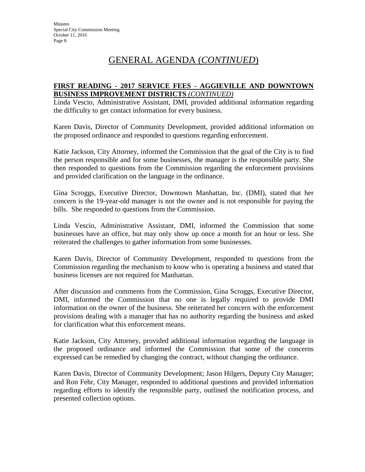## **FIRST READING - 2017 SERVICE FEES - AGGIEVILLE AND DOWNTOWN BUSINESS IMPROVEMENT DISTRICTS** *(CONTINUED)*

Linda Vescio, Administrative Assistant, DMI, provided additional information regarding the difficulty to get contact information for every business.

Karen Davis, Director of Community Development, provided additional information on the proposed ordinance and responded to questions regarding enforcement.

Katie Jackson, City Attorney, informed the Commission that the goal of the City is to find the person responsible and for some businesses, the manager is the responsible party. She then responded to questions from the Commission regarding the enforcement provisions and provided clarification on the language in the ordinance.

Gina Scroggs, Executive Director, Downtown Manhattan, Inc. (DMI), stated that her concern is the 19-year-old manager is not the owner and is not responsible for paying the bills. She responded to questions from the Commission.

Linda Vescio, Administrative Assistant, DMI, informed the Commission that some businesses have an office, but may only show up once a month for an hour or less. She reiterated the challenges to gather information from some businesses.

Karen Davis, Director of Community Development, responded to questions from the Commission regarding the mechanism to know who is operating a business and stated that business licenses are not required for Manhattan.

After discussion and comments from the Commission, Gina Scroggs, Executive Director, DMI, informed the Commission that no one is legally required to provide DMI information on the owner of the business. She reiterated her concern with the enforcement provisions dealing with a manager that has no authority regarding the business and asked for clarification what this enforcement means.

Katie Jackson, City Attorney, provided additional information regarding the language in the proposed ordinance and informed the Commission that some of the concerns expressed can be remedied by changing the contract, without changing the ordinance.

Karen Davis, Director of Community Development; Jason Hilgers, Deputy City Manager; and Ron Fehr, City Manager, responded to additional questions and provided information regarding efforts to identify the responsible party, outlined the notification process, and presented collection options.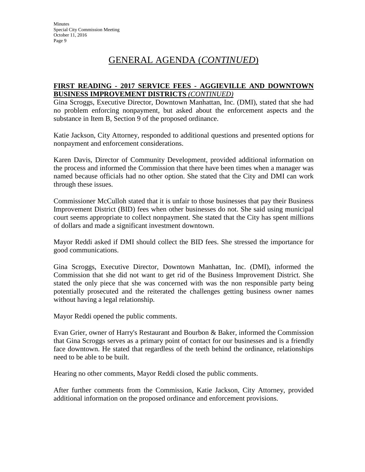## **FIRST READING - 2017 SERVICE FEES - AGGIEVILLE AND DOWNTOWN BUSINESS IMPROVEMENT DISTRICTS** *(CONTINUED)*

Gina Scroggs, Executive Director, Downtown Manhattan, Inc. (DMI), stated that she had no problem enforcing nonpayment, but asked about the enforcement aspects and the substance in Item B, Section 9 of the proposed ordinance.

Katie Jackson, City Attorney, responded to additional questions and presented options for nonpayment and enforcement considerations.

Karen Davis, Director of Community Development, provided additional information on the process and informed the Commission that there have been times when a manager was named because officials had no other option. She stated that the City and DMI can work through these issues.

Commissioner McCulloh stated that it is unfair to those businesses that pay their Business Improvement District (BID) fees when other businesses do not. She said using municipal court seems appropriate to collect nonpayment. She stated that the City has spent millions of dollars and made a significant investment downtown.

Mayor Reddi asked if DMI should collect the BID fees. She stressed the importance for good communications.

Gina Scroggs, Executive Director, Downtown Manhattan, Inc. (DMI), informed the Commission that she did not want to get rid of the Business Improvement District. She stated the only piece that she was concerned with was the non responsible party being potentially prosecuted and the reiterated the challenges getting business owner names without having a legal relationship.

Mayor Reddi opened the public comments.

Evan Grier, owner of Harry's Restaurant and Bourbon & Baker, informed the Commission that Gina Scroggs serves as a primary point of contact for our businesses and is a friendly face downtown. He stated that regardless of the teeth behind the ordinance, relationships need to be able to be built.

Hearing no other comments, Mayor Reddi closed the public comments.

After further comments from the Commission, Katie Jackson, City Attorney, provided additional information on the proposed ordinance and enforcement provisions.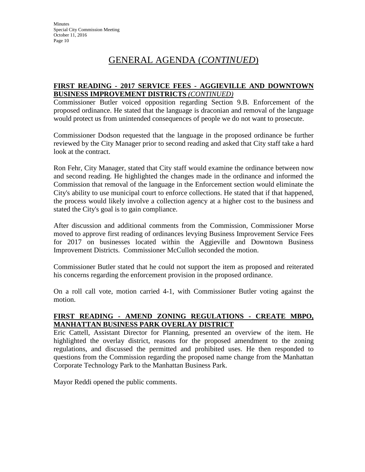## **FIRST READING - 2017 SERVICE FEES - AGGIEVILLE AND DOWNTOWN BUSINESS IMPROVEMENT DISTRICTS** *(CONTINUED)*

Commissioner Butler voiced opposition regarding Section 9.B. Enforcement of the proposed ordinance. He stated that the language is draconian and removal of the language would protect us from unintended consequences of people we do not want to prosecute.

Commissioner Dodson requested that the language in the proposed ordinance be further reviewed by the City Manager prior to second reading and asked that City staff take a hard look at the contract.

Ron Fehr, City Manager, stated that City staff would examine the ordinance between now and second reading. He highlighted the changes made in the ordinance and informed the Commission that removal of the language in the Enforcement section would eliminate the City's ability to use municipal court to enforce collections. He stated that if that happened, the process would likely involve a collection agency at a higher cost to the business and stated the City's goal is to gain compliance.

After discussion and additional comments from the Commission, Commissioner Morse moved to approve first reading of ordinances levying Business Improvement Service Fees for 2017 on businesses located within the Aggieville and Downtown Business Improvement Districts. Commissioner McCulloh seconded the motion.

Commissioner Butler stated that he could not support the item as proposed and reiterated his concerns regarding the enforcement provision in the proposed ordinance.

On a roll call vote, motion carried 4-1, with Commissioner Butler voting against the motion.

## **FIRST READING - AMEND ZONING REGULATIONS - CREATE MBPO, MANHATTAN BUSINESS PARK OVERLAY DISTRICT**

Eric Cattell, Assistant Director for Planning, presented an overview of the item. He highlighted the overlay district, reasons for the proposed amendment to the zoning regulations, and discussed the permitted and prohibited uses. He then responded to questions from the Commission regarding the proposed name change from the Manhattan Corporate Technology Park to the Manhattan Business Park.

Mayor Reddi opened the public comments.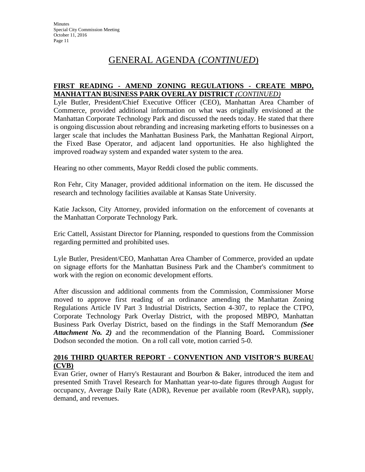### **FIRST READING - AMEND ZONING REGULATIONS - CREATE MBPO, MANHATTAN BUSINESS PARK OVERLAY DISTRICT** *(CONTINUED)*

Lyle Butler, President/Chief Executive Officer (CEO), Manhattan Area Chamber of Commerce, provided additional information on what was originally envisioned at the Manhattan Corporate Technology Park and discussed the needs today. He stated that there is ongoing discussion about rebranding and increasing marketing efforts to businesses on a larger scale that includes the Manhattan Business Park, the Manhattan Regional Airport, the Fixed Base Operator, and adjacent land opportunities. He also highlighted the improved roadway system and expanded water system to the area.

Hearing no other comments, Mayor Reddi closed the public comments.

Ron Fehr, City Manager, provided additional information on the item. He discussed the research and technology facilities available at Kansas State University.

Katie Jackson, City Attorney, provided information on the enforcement of covenants at the Manhattan Corporate Technology Park.

Eric Cattell, Assistant Director for Planning, responded to questions from the Commission regarding permitted and prohibited uses.

Lyle Butler, President/CEO, Manhattan Area Chamber of Commerce, provided an update on signage efforts for the Manhattan Business Park and the Chamber's commitment to work with the region on economic development efforts.

After discussion and additional comments from the Commission, Commissioner Morse moved to approve first reading of an ordinance amending the Manhattan Zoning Regulations Article IV Part 3 Industrial Districts, Section 4-307, to replace the CTPO, Corporate Technology Park Overlay District, with the proposed MBPO, Manhattan Business Park Overlay District, based on the findings in the Staff Memorandum *(See Attachment No. 2)* and the recommendation of the Planning Board**.** Commissioner Dodson seconded the motion. On a roll call vote, motion carried 5-0.

## **2016 THIRD QUARTER REPORT - CONVENTION AND VISITOR'S BUREAU (CVB)**

Evan Grier, owner of Harry's Restaurant and Bourbon & Baker, introduced the item and presented Smith Travel Research for Manhattan year-to-date figures through August for occupancy, Average Daily Rate (ADR), Revenue per available room (RevPAR), supply, demand, and revenues.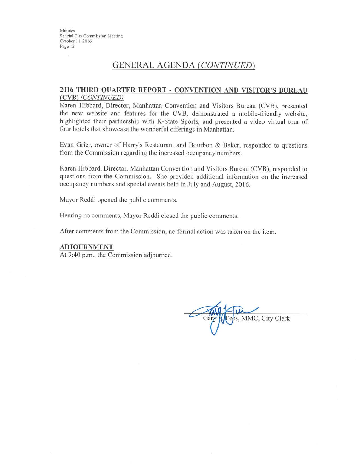## **GENERAL AGENDA (CONTINUED)**

### 2016 THIRD QUARTER REPORT - CONVENTION AND VISITOR'S BUREAU (CVB) (CONTINUED)

Karen Hibbard, Director, Manhattan Convention and Visitors Bureau (CVB), presented the new website and features for the CVB, demonstrated a mobile-friendly website, highlighted their partnership with K-State Sports, and presented a video virtual tour of four hotels that showcase the wonderful offerings in Manhattan.

Evan Grier, owner of Harry's Restaurant and Bourbon & Baker, responded to questions from the Commission regarding the increased occupancy numbers.

Karen Hibbard, Director, Manhattan Convention and Visitors Bureau (CVB), responded to questions from the Commission. She provided additional information on the increased occupancy numbers and special events held in July and August, 2016.

Mayor Reddi opened the public comments.

Hearing no comments, Mayor Reddi closed the public comments.

After comments from the Commission, no formal action was taken on the item.

#### **ADJOURNMENT**

At 9:40 p.m., the Commission adjourned.

es, MMC, City Clerk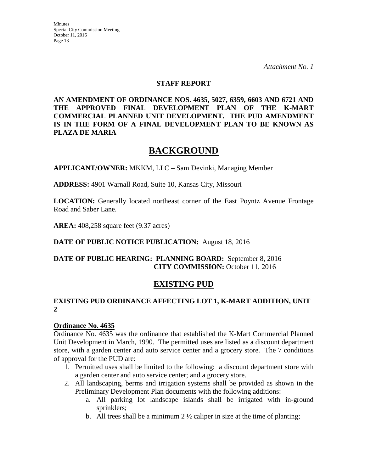*Attachment No. 1* 

## **STAFF REPORT**

**AN AMENDMENT OF ORDINANCE NOS. 4635, 5027, 6359, 6603 AND 6721 AND THE APPROVED FINAL DEVELOPMENT PLAN OF THE K-MART COMMERCIAL PLANNED UNIT DEVELOPMENT. THE PUD AMENDMENT IS IN THE FORM OF A FINAL DEVELOPMENT PLAN TO BE KNOWN AS PLAZA DE MARIA** 

# **BACKGROUND**

**APPLICANT/OWNER:** MKKM, LLC – Sam Devinki, Managing Member

**ADDRESS:** 4901 Warnall Road, Suite 10, Kansas City, Missouri

**LOCATION:** Generally located northeast corner of the East Poyntz Avenue Frontage Road and Saber Lane.

**AREA:** 408,258 square feet (9.37 acres)

## **DATE OF PUBLIC NOTICE PUBLICATION:** August 18, 2016

## **DATE OF PUBLIC HEARING: PLANNING BOARD:** September 8, 2016 **CITY COMMISSION:** October 11, 2016

## **EXISTING PUD**

## **EXISTING PUD ORDINANCE AFFECTING LOT 1, K-MART ADDITION, UNIT 2**

### **Ordinance No. 4635**

Ordinance No. 4635 was the ordinance that established the K-Mart Commercial Planned Unit Development in March, 1990. The permitted uses are listed as a discount department store, with a garden center and auto service center and a grocery store. The 7 conditions of approval for the PUD are:

- 1. Permitted uses shall be limited to the following: a discount department store with a garden center and auto service center; and a grocery store.
- 2. All landscaping, berms and irrigation systems shall be provided as shown in the Preliminary Development Plan documents with the following additions:
	- a. All parking lot landscape islands shall be irrigated with in-ground sprinklers;
	- b. All trees shall be a minimum  $2 \frac{1}{2}$  caliper in size at the time of planting;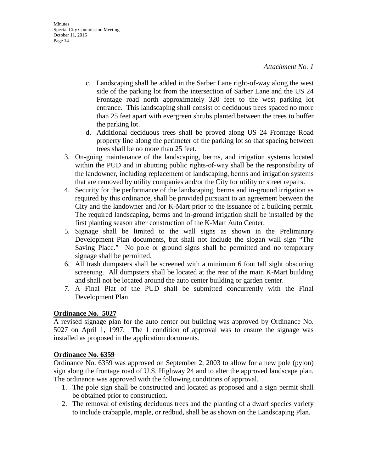- c. Landscaping shall be added in the Sarber Lane right-of-way along the west side of the parking lot from the intersection of Sarber Lane and the US 24 Frontage road north approximately 320 feet to the west parking lot entrance. This landscaping shall consist of deciduous trees spaced no more than 25 feet apart with evergreen shrubs planted between the trees to buffer the parking lot.
- d. Additional deciduous trees shall be proved along US 24 Frontage Road property line along the perimeter of the parking lot so that spacing between trees shall be no more than 25 feet.
- 3. On-going maintenance of the landscaping, berms, and irrigation systems located within the PUD and in abutting public rights-of-way shall be the responsibility of the landowner, including replacement of landscaping, berms and irrigation systems that are removed by utility companies and/or the City for utility or street repairs.
- 4. Security for the performance of the landscaping, berms and in-ground irrigation as required by this ordinance, shall be provided pursuant to an agreement between the City and the landowner and /or K-Mart prior to the issuance of a building permit. The required landscaping, berms and in-ground irrigation shall be installed by the first planting season after construction of the K-Mart Auto Center.
- 5. Signage shall be limited to the wall signs as shown in the Preliminary Development Plan documents, but shall not include the slogan wall sign "The Saving Place." No pole or ground signs shall be permitted and no temporary signage shall be permitted.
- 6. All trash dumpsters shall be screened with a minimum 6 foot tall sight obscuring screening. All dumpsters shall be located at the rear of the main K-Mart building and shall not be located around the auto center building or garden center.
- 7. A Final Plat of the PUD shall be submitted concurrently with the Final Development Plan.

## **Ordinance No. 5027**

A revised signage plan for the auto center out building was approved by Ordinance No. 5027 on April 1, 1997. The 1 condition of approval was to ensure the signage was installed as proposed in the application documents.

## **Ordinance No. 6359**

Ordinance No. 6359 was approved on September 2, 2003 to allow for a new pole (pylon) sign along the frontage road of U.S. Highway 24 and to alter the approved landscape plan. The ordinance was approved with the following conditions of approval.

- 1. The pole sign shall be constructed and located as proposed and a sign permit shall be obtained prior to construction.
- 2. The removal of existing deciduous trees and the planting of a dwarf species variety to include crabapple, maple, or redbud, shall be as shown on the Landscaping Plan.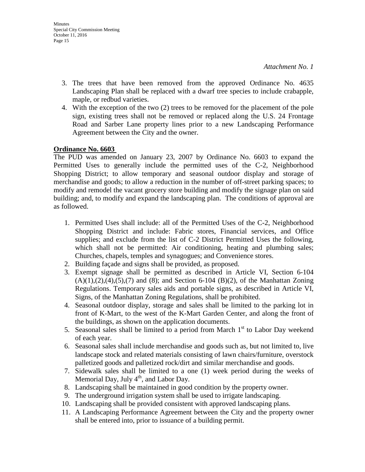- 3. The trees that have been removed from the approved Ordinance No. 4635 Landscaping Plan shall be replaced with a dwarf tree species to include crabapple, maple, or redbud varieties.
- 4. With the exception of the two (2) trees to be removed for the placement of the pole sign, existing trees shall not be removed or replaced along the U.S. 24 Frontage Road and Sarber Lane property lines prior to a new Landscaping Performance Agreement between the City and the owner.

### **Ordinance No. 6603**

The PUD was amended on January 23, 2007 by Ordinance No. 6603 to expand the Permitted Uses to generally include the permitted uses of the C-2, Neighborhood Shopping District; to allow temporary and seasonal outdoor display and storage of merchandise and goods; to allow a reduction in the number of off-street parking spaces; to modify and remodel the vacant grocery store building and modify the signage plan on said building; and, to modify and expand the landscaping plan. The conditions of approval are as followed.

- 1. Permitted Uses shall include: all of the Permitted Uses of the C-2, Neighborhood Shopping District and include: Fabric stores, Financial services, and Office supplies; and exclude from the list of C-2 District Permitted Uses the following, which shall not be permitted: Air conditioning, heating and plumbing sales; Churches, chapels, temples and synagogues; and Convenience stores.
- 2. Building façade and signs shall be provided, as proposed.
- 3. Exempt signage shall be permitted as described in Article VI, Section 6-104  $(A)(1),(2),(4),(5),(7)$  and  $(8)$ ; and Section 6-104  $(B)(2)$ , of the Manhattan Zoning Regulations. Temporary sales aids and portable signs, as described in Article VI, Signs, of the Manhattan Zoning Regulations, shall be prohibited.
- 4. Seasonal outdoor display, storage and sales shall be limited to the parking lot in front of K-Mart, to the west of the K-Mart Garden Center, and along the front of the buildings, as shown on the application documents.
- 5. Seasonal sales shall be limited to a period from March  $1<sup>st</sup>$  to Labor Day weekend of each year.
- 6. Seasonal sales shall include merchandise and goods such as, but not limited to, live landscape stock and related materials consisting of lawn chairs/furniture, overstock palletized goods and palletized rock/dirt and similar merchandise and goods.
- 7. Sidewalk sales shall be limited to a one (1) week period during the weeks of Memorial Day, July  $4<sup>th</sup>$ , and Labor Day.
- 8. Landscaping shall be maintained in good condition by the property owner.
- 9. The underground irrigation system shall be used to irrigate landscaping.
- 10. Landscaping shall be provided consistent with approved landscaping plans.
- 11. A Landscaping Performance Agreement between the City and the property owner shall be entered into, prior to issuance of a building permit.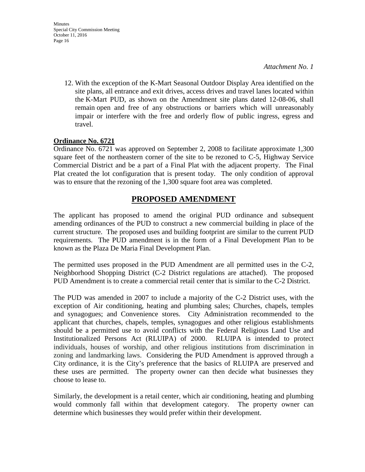- Minutes Special City Commission Meeting October 11, 2016 Page 16
	- 12. With the exception of the K-Mart Seasonal Outdoor Display Area identified on the site plans, all entrance and exit drives, access drives and travel lanes located within the K-Mart PUD, as shown on the Amendment site plans dated 12-08-06, shall remain open and free of any obstructions or barriers which will unreasonably impair or interfere with the free and orderly flow of public ingress, egress and travel.

### **Ordinance No. 6721**

Ordinance No. 6721 was approved on September 2, 2008 to facilitate approximate 1,300 square feet of the northeastern corner of the site to be rezoned to C-5, Highway Service Commercial District and be a part of a Final Plat with the adjacent property. The Final Plat created the lot configuration that is present today. The only condition of approval was to ensure that the rezoning of the 1,300 square foot area was completed.

## **PROPOSED AMENDMENT**

The applicant has proposed to amend the original PUD ordinance and subsequent amending ordinances of the PUD to construct a new commercial building in place of the current structure. The proposed uses and building footprint are similar to the current PUD requirements. The PUD amendment is in the form of a Final Development Plan to be known as the Plaza De Maria Final Development Plan.

The permitted uses proposed in the PUD Amendment are all permitted uses in the C-2, Neighborhood Shopping District (C-2 District regulations are attached). The proposed PUD Amendment is to create a commercial retail center that is similar to the C-2 District.

The PUD was amended in 2007 to include a majority of the C-2 District uses, with the exception of Air conditioning, heating and plumbing sales; Churches, chapels, temples and synagogues; and Convenience stores. City Administration recommended to the applicant that churches, chapels, temples, synagogues and other religious establishments should be a permitted use to avoid conflicts with the Federal Religious Land Use and Institutionalized Persons Act (RLUIPA) of 2000. RLUIPA is intended to protect individuals, houses of worship, and other religious institutions from discrimination in zoning and landmarking laws. Considering the PUD Amendment is approved through a City ordinance, it is the City's preference that the basics of RLUIPA are preserved and these uses are permitted. The property owner can then decide what businesses they choose to lease to.

Similarly, the development is a retail center, which air conditioning, heating and plumbing would commonly fall within that development category. The property owner can determine which businesses they would prefer within their development.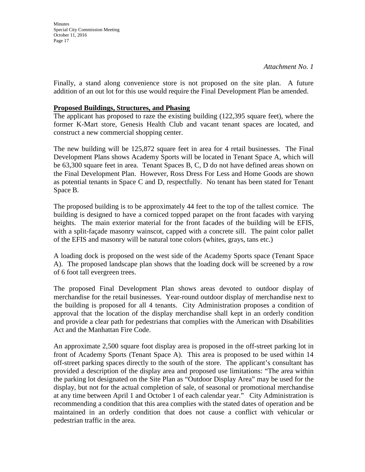Minutes Special City Commission Meeting October 11, 2016 Page 17

Finally, a stand along convenience store is not proposed on the site plan. A future addition of an out lot for this use would require the Final Development Plan be amended.

### **Proposed Buildings, Structures, and Phasing**

The applicant has proposed to raze the existing building (122,395 square feet), where the former K-Mart store, Genesis Health Club and vacant tenant spaces are located, and construct a new commercial shopping center.

The new building will be 125,872 square feet in area for 4 retail businesses. The Final Development Plans shows Academy Sports will be located in Tenant Space A, which will be 63,300 square feet in area. Tenant Spaces B, C, D do not have defined areas shown on the Final Development Plan. However, Ross Dress For Less and Home Goods are shown as potential tenants in Space C and D, respectfully. No tenant has been stated for Tenant Space B.

The proposed building is to be approximately 44 feet to the top of the tallest cornice. The building is designed to have a corniced topped parapet on the front facades with varying heights. The main exterior material for the front facades of the building will be EFIS, with a split-façade masonry wainscot, capped with a concrete sill. The paint color pallet of the EFIS and masonry will be natural tone colors (whites, grays, tans etc.)

A loading dock is proposed on the west side of the Academy Sports space (Tenant Space A). The proposed landscape plan shows that the loading dock will be screened by a row of 6 foot tall evergreen trees.

The proposed Final Development Plan shows areas devoted to outdoor display of merchandise for the retail businesses. Year-round outdoor display of merchandise next to the building is proposed for all 4 tenants. City Administration proposes a condition of approval that the location of the display merchandise shall kept in an orderly condition and provide a clear path for pedestrians that complies with the American with Disabilities Act and the Manhattan Fire Code.

An approximate 2,500 square foot display area is proposed in the off-street parking lot in front of Academy Sports (Tenant Space A). This area is proposed to be used within 14 off-street parking spaces directly to the south of the store. The applicant's consultant has provided a description of the display area and proposed use limitations: "The area within the parking lot designated on the Site Plan as "Outdoor Display Area" may be used for the display, but not for the actual completion of sale, of seasonal or promotional merchandise at any time between April 1 and October 1 of each calendar year." City Administration is recommending a condition that this area complies with the stated dates of operation and be maintained in an orderly condition that does not cause a conflict with vehicular or pedestrian traffic in the area.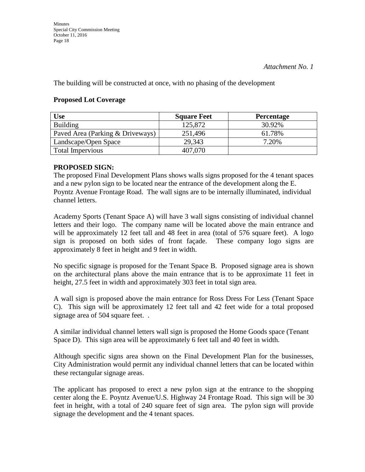The building will be constructed at once, with no phasing of the development

### **Proposed Lot Coverage**

| Use                              | <b>Square Feet</b> | <b>Percentage</b> |
|----------------------------------|--------------------|-------------------|
| <b>Building</b>                  | 125,872            | 30.92%            |
| Paved Area (Parking & Driveways) | 251,496            | 61.78%            |
| Landscape/Open Space             | 29,343             | 7.20%             |
| <b>Total Impervious</b>          | 407,070            |                   |

## **PROPOSED SIGN:**

The proposed Final Development Plans shows walls signs proposed for the 4 tenant spaces and a new pylon sign to be located near the entrance of the development along the E. Poyntz Avenue Frontage Road. The wall signs are to be internally illuminated, individual channel letters.

Academy Sports (Tenant Space A) will have 3 wall signs consisting of individual channel letters and their logo. The company name will be located above the main entrance and will be approximately 12 feet tall and 48 feet in area (total of 576 square feet). A logo sign is proposed on both sides of front façade. These company logo signs are approximately 8 feet in height and 9 feet in width.

No specific signage is proposed for the Tenant Space B. Proposed signage area is shown on the architectural plans above the main entrance that is to be approximate 11 feet in height, 27.5 feet in width and approximately 303 feet in total sign area.

A wall sign is proposed above the main entrance for Ross Dress For Less (Tenant Space C). This sign will be approximately 12 feet tall and 42 feet wide for a total proposed signage area of 504 square feet. .

A similar individual channel letters wall sign is proposed the Home Goods space (Tenant Space D). This sign area will be approximately 6 feet tall and 40 feet in width.

Although specific signs area shown on the Final Development Plan for the businesses, City Administration would permit any individual channel letters that can be located within these rectangular signage areas.

The applicant has proposed to erect a new pylon sign at the entrance to the shopping center along the E. Poyntz Avenue/U.S. Highway 24 Frontage Road. This sign will be 30 feet in height, with a total of 240 square feet of sign area. The pylon sign will provide signage the development and the 4 tenant spaces.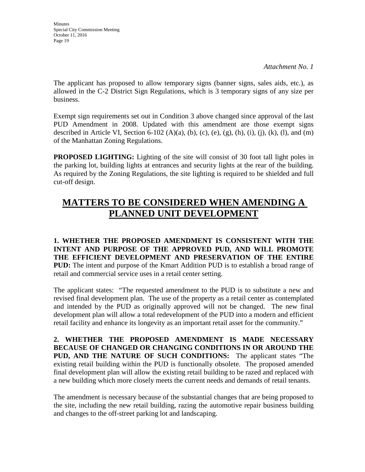Minutes Special City Commission Meeting October 11, 2016 Page 19

The applicant has proposed to allow temporary signs (banner signs, sales aids, etc.), as allowed in the C-2 District Sign Regulations, which is 3 temporary signs of any size per business.

Exempt sign requirements set out in Condition 3 above changed since approval of the last PUD Amendment in 2008. Updated with this amendment are those exempt signs described in Article VI, Section 6-102 (A)(a), (b), (c), (e), (g), (h), (i), (j), (k), (l), and (m) of the Manhattan Zoning Regulations.

**PROPOSED LIGHTING:** Lighting of the site will consist of 30 foot tall light poles in the parking lot, building lights at entrances and security lights at the rear of the building. As required by the Zoning Regulations, the site lighting is required to be shielded and full cut-off design.

# **MATTERS TO BE CONSIDERED WHEN AMENDING A PLANNED UNIT DEVELOPMENT**

**1. WHETHER THE PROPOSED AMENDMENT IS CONSISTENT WITH THE INTENT AND PURPOSE OF THE APPROVED PUD, AND WILL PROMOTE THE EFFICIENT DEVELOPMENT AND PRESERVATION OF THE ENTIRE PUD:** The intent and purpose of the Kmart Addition PUD is to establish a broad range of retail and commercial service uses in a retail center setting.

The applicant states: "The requested amendment to the PUD is to substitute a new and revised final development plan. The use of the property as a retail center as contemplated and intended by the PUD as originally approved will not be changed. The new final development plan will allow a total redevelopment of the PUD into a modern and efficient retail facility and enhance its longevity as an important retail asset for the community."

**2. WHETHER THE PROPOSED AMENDMENT IS MADE NECESSARY BECAUSE OF CHANGED OR CHANGING CONDITIONS IN OR AROUND THE PUD, AND THE NATURE OF SUCH CONDITIONS:** The applicant states "The existing retail building within the PUD is functionally obsolete. The proposed amended final development plan will allow the existing retail building to be razed and replaced with a new building which more closely meets the current needs and demands of retail tenants.

The amendment is necessary because of the substantial changes that are being proposed to the site, including the new retail building, razing the automotive repair business building and changes to the off-street parking lot and landscaping.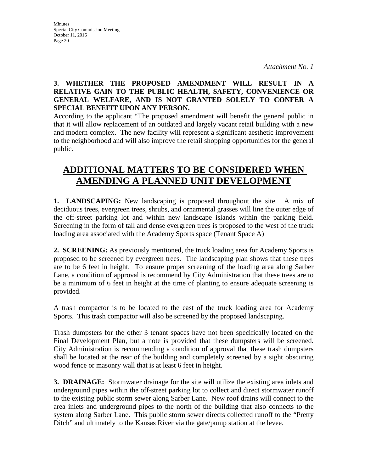## **3. WHETHER THE PROPOSED AMENDMENT WILL RESULT IN A RELATIVE GAIN TO THE PUBLIC HEALTH, SAFETY, CONVENIENCE OR GENERAL WELFARE, AND IS NOT GRANTED SOLELY TO CONFER A SPECIAL BENEFIT UPON ANY PERSON.**

According to the applicant "The proposed amendment will benefit the general public in that it will allow replacement of an outdated and largely vacant retail building with a new and modern complex. The new facility will represent a significant aesthetic improvement to the neighborhood and will also improve the retail shopping opportunities for the general public.

# **ADDITIONAL MATTERS TO BE CONSIDERED WHEN AMENDING A PLANNED UNIT DEVELOPMENT**

**1. LANDSCAPING:** New landscaping is proposed throughout the site. A mix of deciduous trees, evergreen trees, shrubs, and ornamental grasses will line the outer edge of the off-street parking lot and within new landscape islands within the parking field. Screening in the form of tall and dense evergreen trees is proposed to the west of the truck loading area associated with the Academy Sports space (Tenant Space A)

**2. SCREENING:** As previously mentioned, the truck loading area for Academy Sports is proposed to be screened by evergreen trees. The landscaping plan shows that these trees are to be 6 feet in height. To ensure proper screening of the loading area along Sarber Lane, a condition of approval is recommend by City Administration that these trees are to be a minimum of 6 feet in height at the time of planting to ensure adequate screening is provided.

A trash compactor is to be located to the east of the truck loading area for Academy Sports. This trash compactor will also be screened by the proposed landscaping.

Trash dumpsters for the other 3 tenant spaces have not been specifically located on the Final Development Plan, but a note is provided that these dumpsters will be screened. City Administration is recommending a condition of approval that these trash dumpsters shall be located at the rear of the building and completely screened by a sight obscuring wood fence or masonry wall that is at least 6 feet in height.

**3. DRAINAGE:** Stormwater drainage for the site will utilize the existing area inlets and underground pipes within the off-street parking lot to collect and direct stormwater runoff to the existing public storm sewer along Sarber Lane. New roof drains will connect to the area inlets and underground pipes to the north of the building that also connects to the system along Sarber Lane. This public storm sewer directs collected runoff to the "Pretty Ditch" and ultimately to the Kansas River via the gate/pump station at the levee.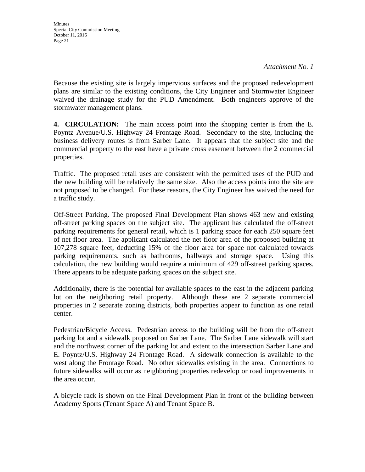Because the existing site is largely impervious surfaces and the proposed redevelopment plans are similar to the existing conditions, the City Engineer and Stormwater Engineer waived the drainage study for the PUD Amendment. Both engineers approve of the stormwater management plans.

**4. CIRCULATION:** The main access point into the shopping center is from the E. Poyntz Avenue/U.S. Highway 24 Frontage Road. Secondary to the site, including the business delivery routes is from Sarber Lane. It appears that the subject site and the commercial property to the east have a private cross easement between the 2 commercial properties.

Traffic. The proposed retail uses are consistent with the permitted uses of the PUD and the new building will be relatively the same size. Also the access points into the site are not proposed to be changed. For these reasons, the City Engineer has waived the need for a traffic study.

Off-Street Parking. The proposed Final Development Plan shows 463 new and existing off-street parking spaces on the subject site. The applicant has calculated the off-street parking requirements for general retail, which is 1 parking space for each 250 square feet of net floor area. The applicant calculated the net floor area of the proposed building at 107,278 square feet, deducting 15% of the floor area for space not calculated towards parking requirements, such as bathrooms, hallways and storage space. Using this calculation, the new building would require a minimum of 429 off-street parking spaces. There appears to be adequate parking spaces on the subject site.

Additionally, there is the potential for available spaces to the east in the adjacent parking lot on the neighboring retail property. Although these are 2 separate commercial properties in 2 separate zoning districts, both properties appear to function as one retail center.

Pedestrian/Bicycle Access. Pedestrian access to the building will be from the off-street parking lot and a sidewalk proposed on Sarber Lane. The Sarber Lane sidewalk will start and the northwest corner of the parking lot and extent to the intersection Sarber Lane and E. Poyntz/U.S. Highway 24 Frontage Road. A sidewalk connection is available to the west along the Frontage Road. No other sidewalks existing in the area. Connections to future sidewalks will occur as neighboring properties redevelop or road improvements in the area occur.

A bicycle rack is shown on the Final Development Plan in front of the building between Academy Sports (Tenant Space A) and Tenant Space B.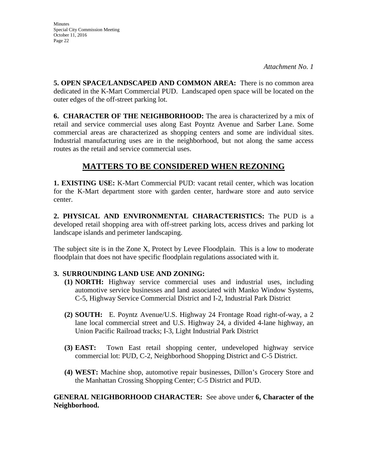**5. OPEN SPACE/LANDSCAPED AND COMMON AREA:** There is no common area dedicated in the K-Mart Commercial PUD. Landscaped open space will be located on the outer edges of the off-street parking lot.

**6. CHARACTER OF THE NEIGHBORHOOD:** The area is characterized by a mix of retail and service commercial uses along East Poyntz Avenue and Sarber Lane. Some commercial areas are characterized as shopping centers and some are individual sites. Industrial manufacturing uses are in the neighborhood, but not along the same access routes as the retail and service commercial uses.

# **MATTERS TO BE CONSIDERED WHEN REZONING**

**1. EXISTING USE:** K-Mart Commercial PUD: vacant retail center, which was location for the K-Mart department store with garden center, hardware store and auto service center.

**2. PHYSICAL AND ENVIRONMENTAL CHARACTERISTICS:** The PUD is a developed retail shopping area with off-street parking lots, access drives and parking lot landscape islands and perimeter landscaping.

The subject site is in the Zone X, Protect by Levee Floodplain. This is a low to moderate floodplain that does not have specific floodplain regulations associated with it.

## **3. SURROUNDING LAND USE AND ZONING:**

- **(1) NORTH:** Highway service commercial uses and industrial uses, including automotive service businesses and land associated with Manko Window Systems, C-5, Highway Service Commercial District and I-2, Industrial Park District
- **(2) SOUTH:** E. Poyntz Avenue/U.S. Highway 24 Frontage Road right-of-way, a 2 lane local commercial street and U.S. Highway 24, a divided 4-lane highway, an Union Pacific Railroad tracks; I-3, Light Industrial Park District
- **(3) EAST:** Town East retail shopping center, undeveloped highway service commercial lot: PUD, C-2, Neighborhood Shopping District and C-5 District.
- **(4) WEST:** Machine shop, automotive repair businesses, Dillon's Grocery Store and the Manhattan Crossing Shopping Center; C-5 District and PUD.

## **GENERAL NEIGHBORHOOD CHARACTER:** See above under **6, Character of the Neighborhood.**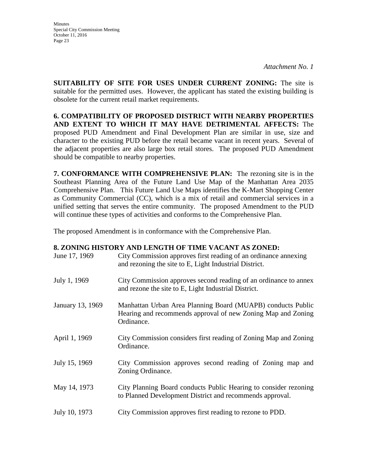**SUITABILITY OF SITE FOR USES UNDER CURRENT ZONING:** The site is suitable for the permitted uses. However, the applicant has stated the existing building is obsolete for the current retail market requirements.

**6. COMPATIBILITY OF PROPOSED DISTRICT WITH NEARBY PROPERTIES AND EXTENT TO WHICH IT MAY HAVE DETRIMENTAL AFFECTS:** The proposed PUD Amendment and Final Development Plan are similar in use, size and character to the existing PUD before the retail became vacant in recent years. Several of the adjacent properties are also large box retail stores. The proposed PUD Amendment should be compatible to nearby properties.

**7. CONFORMANCE WITH COMPREHENSIVE PLAN:** The rezoning site is in the Southeast Planning Area of the Future Land Use Map of the Manhattan Area 2035 Comprehensive Plan. This Future Land Use Maps identifies the K-Mart Shopping Center as Community Commercial (CC), which is a mix of retail and commercial services in a unified setting that serves the entire community. The proposed Amendment to the PUD will continue these types of activities and conforms to the Comprehensive Plan.

The proposed Amendment is in conformance with the Comprehensive Plan.

### **8. ZONING HISTORY AND LENGTH OF TIME VACANT AS ZONED:**

| June 17, 1969    | City Commission approves first reading of an ordinance annexing<br>and rezoning the site to E, Light Industrial District.                 |
|------------------|-------------------------------------------------------------------------------------------------------------------------------------------|
| July 1, 1969     | City Commission approves second reading of an ordinance to annex<br>and rezone the site to E, Light Industrial District.                  |
| January 13, 1969 | Manhattan Urban Area Planning Board (MUAPB) conducts Public<br>Hearing and recommends approval of new Zoning Map and Zoning<br>Ordinance. |
| April 1, 1969    | City Commission considers first reading of Zoning Map and Zoning<br>Ordinance.                                                            |
| July 15, 1969    | City Commission approves second reading of Zoning map and<br>Zoning Ordinance.                                                            |
| May 14, 1973     | City Planning Board conducts Public Hearing to consider rezoning<br>to Planned Development District and recommends approval.              |
| July 10, 1973    | City Commission approves first reading to rezone to PDD.                                                                                  |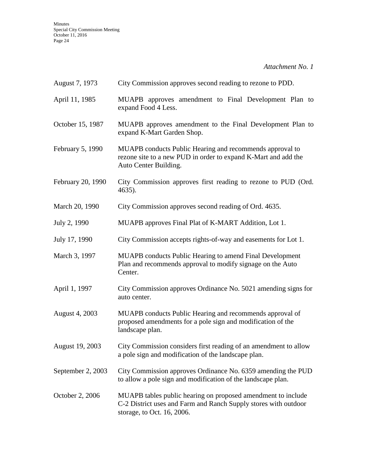*Attachment No. 1* 

| August 7, 1973    | City Commission approves second reading to rezone to PDD.                                                                                                     |
|-------------------|---------------------------------------------------------------------------------------------------------------------------------------------------------------|
| April 11, 1985    | MUAPB approves amendment to Final Development Plan to<br>expand Food 4 Less.                                                                                  |
| October 15, 1987  | MUAPB approves amendment to the Final Development Plan to<br>expand K-Mart Garden Shop.                                                                       |
| February 5, 1990  | MUAPB conducts Public Hearing and recommends approval to<br>rezone site to a new PUD in order to expand K-Mart and add the<br>Auto Center Building.           |
| February 20, 1990 | City Commission approves first reading to rezone to PUD (Ord.<br>4635).                                                                                       |
| March 20, 1990    | City Commission approves second reading of Ord. 4635.                                                                                                         |
| July 2, 1990      | MUAPB approves Final Plat of K-MART Addition, Lot 1.                                                                                                          |
| July 17, 1990     | City Commission accepts rights-of-way and easements for Lot 1.                                                                                                |
| March 3, 1997     | <b>MUAPB</b> conducts Public Hearing to amend Final Development<br>Plan and recommends approval to modify signage on the Auto<br>Center.                      |
| April 1, 1997     | City Commission approves Ordinance No. 5021 amending signs for<br>auto center.                                                                                |
| August 4, 2003    | MUAPB conducts Public Hearing and recommends approval of<br>proposed amendments for a pole sign and modification of the<br>landscape plan.                    |
| August 19, 2003   | City Commission considers first reading of an amendment to allow<br>a pole sign and modification of the landscape plan.                                       |
| September 2, 2003 | City Commission approves Ordinance No. 6359 amending the PUD<br>to allow a pole sign and modification of the landscape plan.                                  |
| October 2, 2006   | MUAPB tables public hearing on proposed amendment to include<br>C-2 District uses and Farm and Ranch Supply stores with outdoor<br>storage, to Oct. 16, 2006. |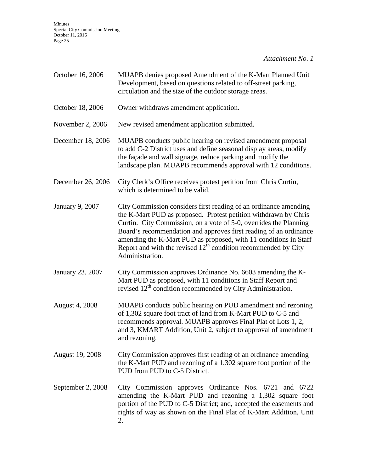*Attachment No. 1* 

| October 16, 2006       | MUAPB denies proposed Amendment of the K-Mart Planned Unit<br>Development, based on questions related to off-street parking,<br>circulation and the size of the outdoor storage areas.                                                                                                                                                                                                                                                   |
|------------------------|------------------------------------------------------------------------------------------------------------------------------------------------------------------------------------------------------------------------------------------------------------------------------------------------------------------------------------------------------------------------------------------------------------------------------------------|
| October 18, 2006       | Owner withdraws amendment application.                                                                                                                                                                                                                                                                                                                                                                                                   |
| November 2, 2006       | New revised amendment application submitted.                                                                                                                                                                                                                                                                                                                                                                                             |
| December 18, 2006      | MUAPB conducts public hearing on revised amendment proposal<br>to add C-2 District uses and define seasonal display areas, modify<br>the façade and wall signage, reduce parking and modify the<br>landscape plan. MUAPB recommends approval with 12 conditions.                                                                                                                                                                         |
| December 26, 2006      | City Clerk's Office receives protest petition from Chris Curtin,<br>which is determined to be valid.                                                                                                                                                                                                                                                                                                                                     |
| <b>January 9, 2007</b> | City Commission considers first reading of an ordinance amending<br>the K-Mart PUD as proposed. Protest petition withdrawn by Chris<br>Curtin. City Commission, on a vote of 5-0, overrides the Planning<br>Board's recommendation and approves first reading of an ordinance<br>amending the K-Mart PUD as proposed, with 11 conditions in Staff<br>Report and with the revised $12th$ condition recommended by City<br>Administration. |
| January 23, 2007       | City Commission approves Ordinance No. 6603 amending the K-<br>Mart PUD as proposed, with 11 conditions in Staff Report and<br>revised 12 <sup>th</sup> condition recommended by City Administration.                                                                                                                                                                                                                                    |
| <b>August 4, 2008</b>  | MUAPB conducts public hearing on PUD amendment and rezoning<br>of 1,302 square foot tract of land from K-Mart PUD to C-5 and<br>recommends approval. MUAPB approves Final Plat of Lots 1, 2,<br>and 3, KMART Addition, Unit 2, subject to approval of amendment<br>and rezoning.                                                                                                                                                         |
| August 19, 2008        | City Commission approves first reading of an ordinance amending<br>the K-Mart PUD and rezoning of a 1,302 square foot portion of the<br>PUD from PUD to C-5 District.                                                                                                                                                                                                                                                                    |
| September 2, 2008      | City Commission approves Ordinance Nos. 6721 and 6722<br>amending the K-Mart PUD and rezoning a 1,302 square foot<br>portion of the PUD to C-5 District; and, accepted the easements and<br>rights of way as shown on the Final Plat of K-Mart Addition, Unit<br>2.                                                                                                                                                                      |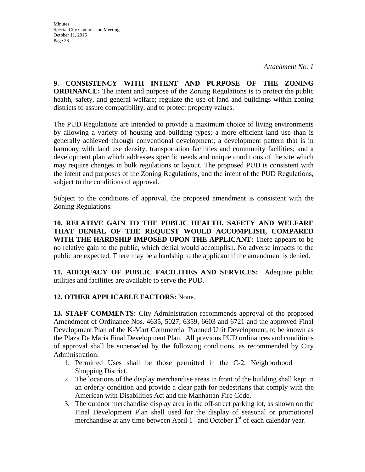**9. CONSISTENCY WITH INTENT AND PURPOSE OF THE ZONING ORDINANCE:** The intent and purpose of the Zoning Regulations is to protect the public health, safety, and general welfare; regulate the use of land and buildings within zoning districts to assure compatibility; and to protect property values.

The PUD Regulations are intended to provide a maximum choice of living environments by allowing a variety of housing and building types; a more efficient land use than is generally achieved through conventional development; a development pattern that is in harmony with land use density, transportation facilities and community facilities; and a development plan which addresses specific needs and unique conditions of the site which may require changes in bulk regulations or layout. The proposed PUD is consistent with the intent and purposes of the Zoning Regulations, and the intent of the PUD Regulations, subject to the conditions of approval.

Subject to the conditions of approval, the proposed amendment is consistent with the Zoning Regulations.

**10. RELATIVE GAIN TO THE PUBLIC HEALTH, SAFETY AND WELFARE THAT DENIAL OF THE REQUEST WOULD ACCOMPLISH, COMPARED WITH THE HARDSHIP IMPOSED UPON THE APPLICANT:** There appears to be no relative gain to the public, which denial would accomplish. No adverse impacts to the public are expected. There may be a hardship to the applicant if the amendment is denied.

**11. ADEQUACY OF PUBLIC FACILITIES AND SERVICES:** Adequate public utilities and facilities are available to serve the PUD.

## **12. OTHER APPLICABLE FACTORS:** None.

**13. STAFF COMMENTS:** City Administration recommends approval of the proposed Amendment of Ordinance Nos. 4635, 5027, 6359, 6603 and 6721 and the approved Final Development Plan of the K-Mart Commercial Planned Unit Development, to be known as the Plaza De Maria Final Development Plan. All previous PUD ordinances and conditions of approval shall be superseded by the following conditions, as recommended by City Administration:

- 1. Permitted Uses shall be those permitted in the C-2, Neighborhood Shopping District.
- 2. The locations of the display merchandise areas in front of the building shall kept in an orderly condition and provide a clear path for pedestrians that comply with the American with Disabilities Act and the Manhattan Fire Code.
- 3. The outdoor merchandise display area in the off-street parking lot, as shown on the Final Development Plan shall used for the display of seasonal or promotional merchandise at any time between April  $1<sup>st</sup>$  and October  $1<sup>st</sup>$  of each calendar year.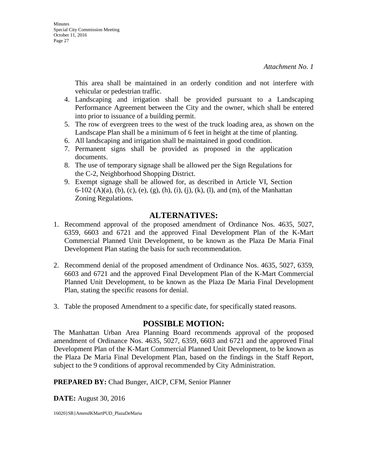This area shall be maintained in an orderly condition and not interfere with vehicular or pedestrian traffic.

- 4. Landscaping and irrigation shall be provided pursuant to a Landscaping Performance Agreement between the City and the owner, which shall be entered into prior to issuance of a building permit.
- 5. The row of evergreen trees to the west of the truck loading area, as shown on the Landscape Plan shall be a minimum of 6 feet in height at the time of planting.
- 6. All landscaping and irrigation shall be maintained in good condition.
- 7. Permanent signs shall be provided as proposed in the application documents.
- 8. The use of temporary signage shall be allowed per the Sign Regulations for the C-2, Neighborhood Shopping District.
- 9. Exempt signage shall be allowed for, as described in Article VI, Section 6-102 (A)(a), (b), (c), (e), (g), (h), (i), (j), (k), (l), and (m), of the Manhattan Zoning Regulations.

## **ALTERNATIVES:**

- 1. Recommend approval of the proposed amendment of Ordinance Nos. 4635, 5027, 6359, 6603 and 6721 and the approved Final Development Plan of the K-Mart Commercial Planned Unit Development, to be known as the Plaza De Maria Final Development Plan stating the basis for such recommendation.
- 2. Recommend denial of the proposed amendment of Ordinance Nos. 4635, 5027, 6359, 6603 and 6721 and the approved Final Development Plan of the K-Mart Commercial Planned Unit Development, to be known as the Plaza De Maria Final Development Plan, stating the specific reasons for denial.
- 3. Table the proposed Amendment to a specific date, for specifically stated reasons.

## **POSSIBLE MOTION:**

The Manhattan Urban Area Planning Board recommends approval of the proposed amendment of Ordinance Nos. 4635, 5027, 6359, 6603 and 6721 and the approved Final Development Plan of the K-Mart Commercial Planned Unit Development, to be known as the Plaza De Maria Final Development Plan, based on the findings in the Staff Report, subject to the 9 conditions of approval recommended by City Administration.

**PREPARED BY:** Chad Bunger, AICP, CFM, Senior Planner

**DATE:** August 30, 2016

16020}SR}AmendKMartPUD\_PlazaDeMaria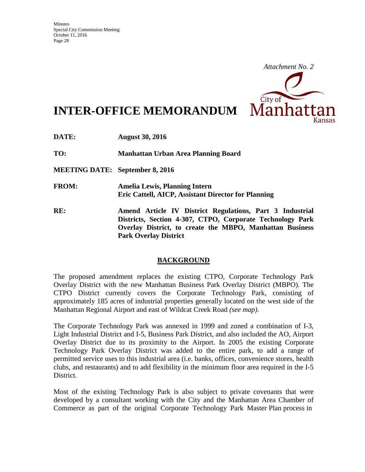

# **INTER-OFFICE MEMORANDUM**

**DATE: August 30, 2016** 

**TO: Manhattan Urban Area Planning Board** 

**MEETING DATE: September 8, 2016** 

- **FROM: Amelia Lewis, Planning Intern Eric Cattell, AICP, Assistant Director for Planning**
- **RE: Amend Article IV District Regulations, Part 3 Industrial Districts, Section 4-307, CTPO, Corporate Technology Park Overlay District, to create the MBPO, Manhattan Business Park Overlay District**

## **BACKGROUND**

The proposed amendment replaces the existing CTPO, Corporate Technology Park Overlay District with the new Manhattan Business Park Overlay District (MBPO). The CTPO District currently covers the Corporate Technology Park, consisting of approximately 185 acres of industrial properties generally located on the west side of the Manhattan Regional Airport and east of Wildcat Creek Road *(see map)*.

The Corporate Technology Park was annexed in 1999 and zoned a combination of I-3, Light Industrial District and I-5, Business Park District, and also included the AO, Airport Overlay District due to its proximity to the Airport. In 2005 the existing Corporate Technology Park Overlay District was added to the entire park, to add a range of permitted service uses to this industrial area (i.e. banks, offices, convenience stores, health clubs, and restaurants) and to add flexibility in the minimum floor area required in the I-5 District.

Most of the existing Technology Park is also subject to private covenants that were developed by a consultant working with the City and the Manhattan Area Chamber of Commerce as part of the original Corporate Technology Park Master Plan process in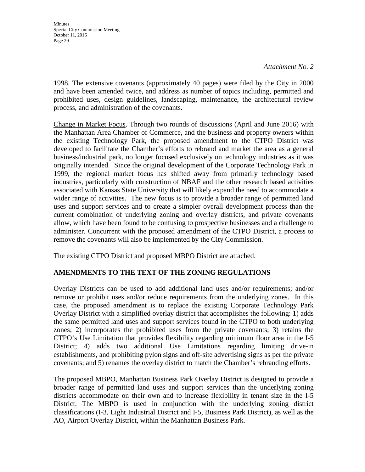1998. The extensive covenants (approximately 40 pages) were filed by the City in 2000 and have been amended twice, and address as number of topics including, permitted and prohibited uses, design guidelines, landscaping, maintenance, the architectural review process, and administration of the covenants.

Change in Market Focus. Through two rounds of discussions (April and June 2016) with the Manhattan Area Chamber of Commerce, and the business and property owners within the existing Technology Park, the proposed amendment to the CTPO District was developed to facilitate the Chamber's efforts to rebrand and market the area as a general business/industrial park, no longer focused exclusively on technology industries as it was originally intended. Since the original development of the Corporate Technology Park in 1999, the regional market focus has shifted away from primarily technology based industries, particularly with construction of NBAF and the other research based activities associated with Kansas State University that will likely expand the need to accommodate a wider range of activities. The new focus is to provide a broader range of permitted land uses and support services and to create a simpler overall development process than the current combination of underlying zoning and overlay districts, and private covenants allow, which have been found to be confusing to prospective businesses and a challenge to administer. Concurrent with the proposed amendment of the CTPO District, a process to remove the covenants will also be implemented by the City Commission.

The existing CTPO District and proposed MBPO District are attached.

## **AMENDMENTS TO THE TEXT OF THE ZONING REGULATIONS**

Overlay Districts can be used to add additional land uses and/or requirements; and/or remove or prohibit uses and/or reduce requirements from the underlying zones. In this case, the proposed amendment is to replace the existing Corporate Technology Park Overlay District with a simplified overlay district that accomplishes the following: 1) adds the same permitted land uses and support services found in the CTPO to both underlying zones; 2) incorporates the prohibited uses from the private covenants; 3) retains the CTPO's Use Limitation that provides flexibility regarding minimum floor area in the I-5 District; 4) adds two additional Use Limitations regarding limiting drive-in establishments, and prohibiting pylon signs and off-site advertising signs as per the private covenants; and 5) renames the overlay district to match the Chamber's rebranding efforts.

The proposed MBPO, Manhattan Business Park Overlay District is designed to provide a broader range of permitted land uses and support services than the underlying zoning districts accommodate on their own and to increase flexibility in tenant size in the I-5 District. The MBPO is used in conjunction with the underlying zoning district classifications (I-3, Light Industrial District and I-5, Business Park District), as well as the AO, Airport Overlay District, within the Manhattan Business Park.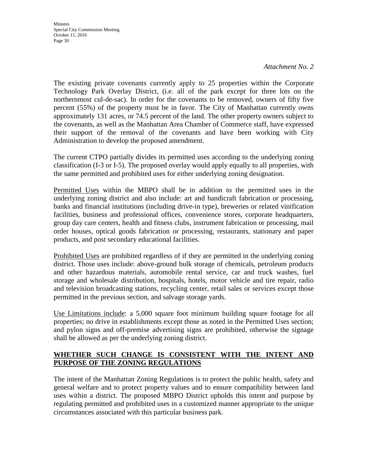*Attachment No. 2* 

The existing private covenants currently apply to 25 properties within the Corporate Technology Park Overlay District, (i.e. all of the park except for three lots on the northernmost cul-de-sac). In order for the covenants to be removed, owners of fifty five percent (55%) of the property must be in favor. The City of Manhattan currently owns approximately 131 acres, or 74.5 percent of the land. The other property owners subject to the covenants, as well as the Manhattan Area Chamber of Commerce staff, have expressed their support of the removal of the covenants and have been working with City Administration to develop the proposed amendment.

The current CTPO partially divides its permitted uses according to the underlying zoning classification (I-3 or I-5). The proposed overlay would apply equally to all properties, with the same permitted and prohibited uses for either underlying zoning designation.

Permitted Uses within the MBPO shall be in addition to the permitted uses in the underlying zoning district and also include: art and handicraft fabrication or processing, banks and financial institutions (including drive-in type), breweries or related vinification facilities, business and professional offices, convenience stores, corporate headquarters, group day care centers, health and fitness clubs, instrument fabrication or processing, mail order houses, optical goods fabrication or processing, restaurants, stationary and paper products, and post secondary educational facilities.

Prohibited Uses are prohibited regardless of if they are permitted in the underlying zoning district. Those uses include: above-ground bulk storage of chemicals, petroleum products and other hazardous materials, automobile rental service, car and truck washes, fuel storage and wholesale distribution, hospitals, hotels, motor vehicle and tire repair, radio and television broadcasting stations, recycling center, retail sales or services except those permitted in the previous section, and salvage storage yards.

Use Limitations include: a 5,000 square foot minimum building square footage for all properties; no drive in establishments except those as noted in the Permitted Uses section; and pylon signs and off-premise advertising signs are prohibited, otherwise the signage shall be allowed as per the underlying zoning district.

## **WHETHER SUCH CHANGE IS CONSISTENT WITH THE INTENT AND PURPOSE OF THE ZONING REGULATIONS**

The intent of the Manhattan Zoning Regulations is to protect the public health, safety and general welfare and to protect property values and to ensure compatibility between land uses within a district. The proposed MBPO District upholds this intent and purpose by regulating permitted and prohibited uses in a customized manner appropriate to the unique circumstances associated with this particular business park.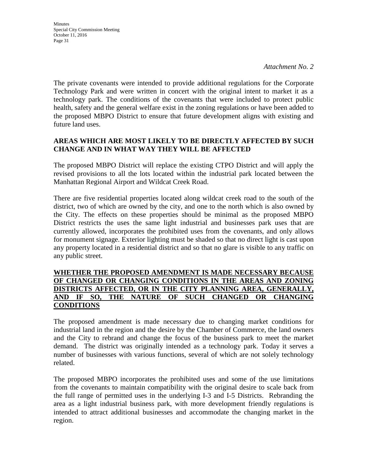The private covenants were intended to provide additional regulations for the Corporate Technology Park and were written in concert with the original intent to market it as a technology park. The conditions of the covenants that were included to protect public health, safety and the general welfare exist in the zoning regulations or have been added to the proposed MBPO District to ensure that future development aligns with existing and future land uses.

## **AREAS WHICH ARE MOST LIKELY TO BE DIRECTLY AFFECTED BY SUCH CHANGE AND IN WHAT WAY THEY WILL BE AFFECTED**

The proposed MBPO District will replace the existing CTPO District and will apply the revised provisions to all the lots located within the industrial park located between the Manhattan Regional Airport and Wildcat Creek Road.

There are five residential properties located along wildcat creek road to the south of the district, two of which are owned by the city, and one to the north which is also owned by the City. The effects on these properties should be minimal as the proposed MBPO District restricts the uses the same light industrial and businesses park uses that are currently allowed, incorporates the prohibited uses from the covenants, and only allows for monument signage. Exterior lighting must be shaded so that no direct light is cast upon any property located in a residential district and so that no glare is visible to any traffic on any public street.

## **WHETHER THE PROPOSED AMENDMENT IS MADE NECESSARY BECAUSE OF CHANGED OR CHANGING CONDITIONS IN THE AREAS AND ZONING DISTRICTS AFFECTED, OR IN THE CITY PLANNING AREA, GENERALLY, AND IF SO, THE NATURE OF SUCH CHANGED OR CHANGING CONDITIONS**

The proposed amendment is made necessary due to changing market conditions for industrial land in the region and the desire by the Chamber of Commerce, the land owners and the City to rebrand and change the focus of the business park to meet the market demand. The district was originally intended as a technology park. Today it serves a number of businesses with various functions, several of which are not solely technology related.

The proposed MBPO incorporates the prohibited uses and some of the use limitations from the covenants to maintain compatibility with the original desire to scale back from the full range of permitted uses in the underlying I-3 and I-5 Districts. Rebranding the area as a light industrial business park, with more development friendly regulations is intended to attract additional businesses and accommodate the changing market in the region.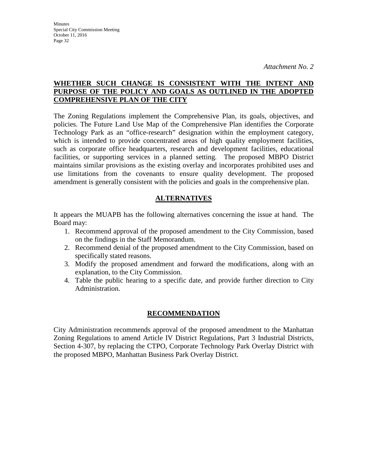## **WHETHER SUCH CHANGE IS CONSISTENT WITH THE INTENT AND PURPOSE OF THE POLICY AND GOALS AS OUTLINED IN THE ADOPTED COMPREHENSIVE PLAN OF THE CITY**

The Zoning Regulations implement the Comprehensive Plan, its goals, objectives, and policies. The Future Land Use Map of the Comprehensive Plan identifies the Corporate Technology Park as an "office-research" designation within the employment category, which is intended to provide concentrated areas of high quality employment facilities, such as corporate office headquarters, research and development facilities, educational facilities, or supporting services in a planned setting. The proposed MBPO District maintains similar provisions as the existing overlay and incorporates prohibited uses and use limitations from the covenants to ensure quality development. The proposed amendment is generally consistent with the policies and goals in the comprehensive plan.

## **ALTERNATIVES**

It appears the MUAPB has the following alternatives concerning the issue at hand. The Board may:

- 1. Recommend approval of the proposed amendment to the City Commission, based on the findings in the Staff Memorandum.
- 2. Recommend denial of the proposed amendment to the City Commission, based on specifically stated reasons.
- 3. Modify the proposed amendment and forward the modifications, along with an explanation, to the City Commission.
- 4. Table the public hearing to a specific date, and provide further direction to City Administration.

## **RECOMMENDATION**

City Administration recommends approval of the proposed amendment to the Manhattan Zoning Regulations to amend Article IV District Regulations, Part 3 Industrial Districts, Section 4-307, by replacing the CTPO, Corporate Technology Park Overlay District with the proposed MBPO, Manhattan Business Park Overlay District.